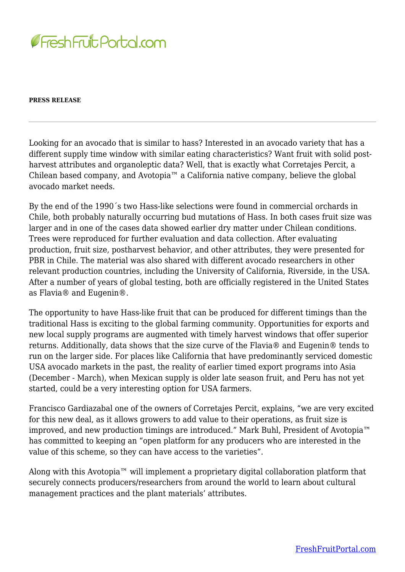

## **PRESS RELEASE**

Looking for an avocado that is similar to hass? Interested in an avocado variety that has a different supply time window with similar eating characteristics? Want fruit with solid postharvest attributes and organoleptic data? Well, that is exactly what Corretajes Percit, a Chilean based company, and Avotopia™ a California native company, believe the global avocado market needs.

By the end of the 1990´s two Hass-like selections were found in commercial orchards in Chile, both probably naturally occurring bud mutations of Hass. In both cases fruit size was larger and in one of the cases data showed earlier dry matter under Chilean conditions. Trees were reproduced for further evaluation and data collection. After evaluating production, fruit size, postharvest behavior, and other attributes, they were presented for PBR in Chile. The material was also shared with different avocado researchers in other relevant production countries, including the University of California, Riverside, in the USA. After a number of years of global testing, both are officially registered in the United States as Flavia® and Eugenin®.

The opportunity to have Hass-like fruit that can be produced for different timings than the traditional Hass is exciting to the global farming community. Opportunities for exports and new local supply programs are augmented with timely harvest windows that offer superior returns. Additionally, data shows that the size curve of the Flavia® and Eugenin® tends to run on the larger side. For places like California that have predominantly serviced domestic USA avocado markets in the past, the reality of earlier timed export programs into Asia (December - March), when Mexican supply is older late season fruit, and Peru has not yet started, could be a very interesting option for USA farmers.

Francisco Gardiazabal one of the owners of Corretajes Percit, explains, "we are very excited for this new deal, as it allows growers to add value to their operations, as fruit size is improved, and new production timings are introduced." Mark Buhl, President of Avotopia™ has committed to keeping an "open platform for any producers who are interested in the value of this scheme, so they can have access to the varieties".

Along with this Avotopia™ will implement a proprietary digital collaboration platform that securely connects producers/researchers from around the world to learn about cultural management practices and the plant materials' attributes.